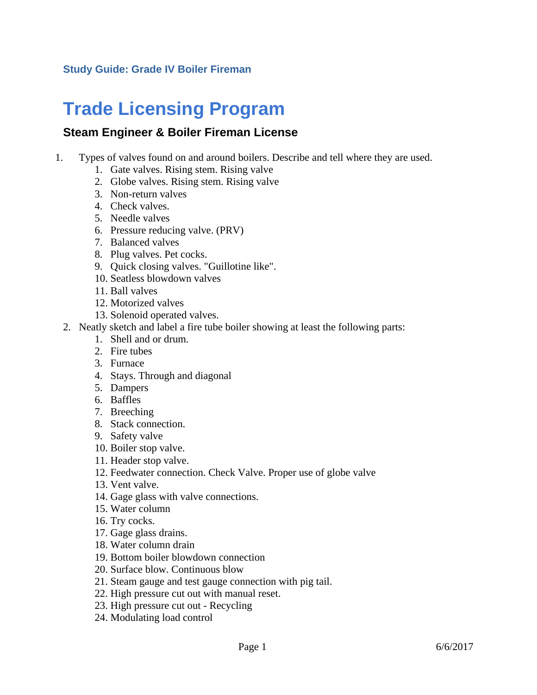## **Trade Licensing Program**

## **Steam Engineer & Boiler Fireman License**

- 1. Types of valves found on and around boilers. Describe and tell where they are used.
	- 1. Gate valves. Rising stem. Rising valve
	- 2. Globe valves. Rising stem. Rising valve
	- 3. Non-return valves
	- 4. Check valves.
	- 5. Needle valves
	- 6. Pressure reducing valve. (PRV)
	- 7. Balanced valves
	- 8. Plug valves. Pet cocks.
	- 9. Quick closing valves. "Guillotine like".
	- 10. Seatless blowdown valves
	- 11. Ball valves
	- 12. Motorized valves
	- 13. Solenoid operated valves.
	- 2. Neatly sketch and label a fire tube boiler showing at least the following parts:
		- 1. Shell and or drum.
		- 2. Fire tubes
		- 3. Furnace
		- 4. Stays. Through and diagonal
		- 5. Dampers
		- 6. Baffles
		- 7. Breeching
		- 8. Stack connection.
		- 9. Safety valve
		- 10. Boiler stop valve.
		- 11. Header stop valve.
		- 12. Feedwater connection. Check Valve. Proper use of globe valve
		- 13. Vent valve.
		- 14. Gage glass with valve connections.
		- 15. Water column
		- 16. Try cocks.
		- 17. Gage glass drains.
		- 18. Water column drain
		- 19. Bottom boiler blowdown connection
		- 20. Surface blow. Continuous blow
		- 21. Steam gauge and test gauge connection with pig tail.
		- 22. High pressure cut out with manual reset.
		- 23. High pressure cut out Recycling
		- 24. Modulating load control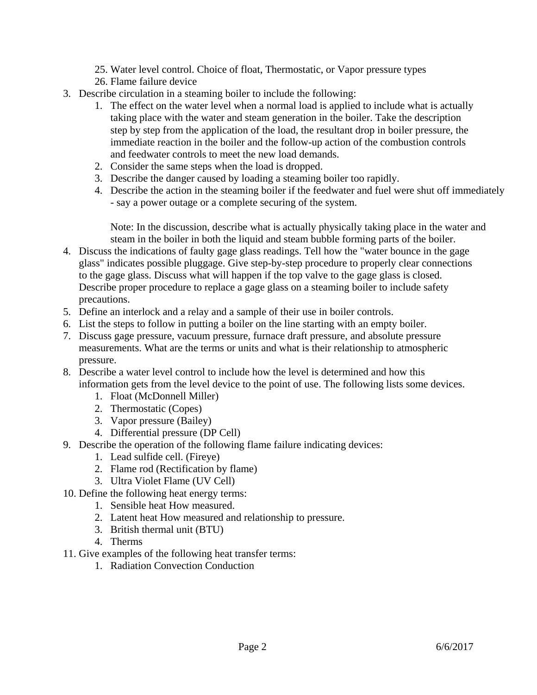- 25. Water level control. Choice of float, Thermostatic, or Vapor pressure types
- 26. Flame failure device
- 3. Describe circulation in a steaming boiler to include the following:
	- 1. The effect on the water level when a normal load is applied to include what is actually taking place with the water and steam generation in the boiler. Take the description step by step from the application of the load, the resultant drop in boiler pressure, the immediate reaction in the boiler and the follow-up action of the combustion controls and feedwater controls to meet the new load demands.
	- 2. Consider the same steps when the load is dropped.
	- 3. Describe the danger caused by loading a steaming boiler too rapidly.
	- 4. Describe the action in the steaming boiler if the feedwater and fuel were shut off immediately - say a power outage or a complete securing of the system.

Note: In the discussion, describe what is actually physically taking place in the water and steam in the boiler in both the liquid and steam bubble forming parts of the boiler.

- 4. Discuss the indications of faulty gage glass readings. Tell how the "water bounce in the gage glass" indicates possible pluggage. Give step-by-step procedure to properly clear connections to the gage glass. Discuss what will happen if the top valve to the gage glass is closed. Describe proper procedure to replace a gage glass on a steaming boiler to include safety precautions.
- 5. Define an interlock and a relay and a sample of their use in boiler controls.
- 6. List the steps to follow in putting a boiler on the line starting with an empty boiler.
- 7. Discuss gage pressure, vacuum pressure, furnace draft pressure, and absolute pressure measurements. What are the terms or units and what is their relationship to atmospheric pressure.
- 8. Describe a water level control to include how the level is determined and how this information gets from the level device to the point of use. The following lists some devices.
	- 1. Float (McDonnell Miller)
	- 2. Thermostatic (Copes)
	- 3. Vapor pressure (Bailey)
	- 4. Differential pressure (DP Cell)
- 9. Describe the operation of the following flame failure indicating devices:
	- 1. Lead sulfide cell. (Fireye)
	- 2. Flame rod (Rectification by flame)
	- 3. Ultra Violet Flame (UV Cell)
- 10. Define the following heat energy terms:
	- 1. Sensible heat How measured.
	- 2. Latent heat How measured and relationship to pressure.
	- 3. British thermal unit (BTU)
	- 4. Therms
- 11. Give examples of the following heat transfer terms:
	- 1. Radiation Convection Conduction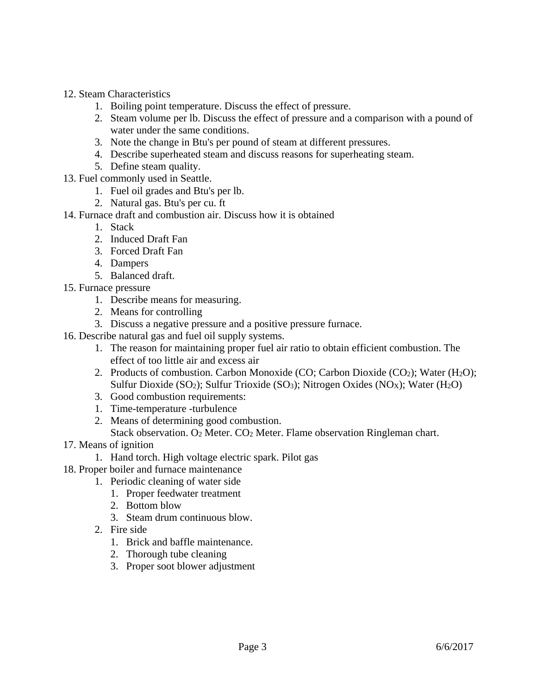- 12. Steam Characteristics
	- 1. Boiling point temperature. Discuss the effect of pressure.
	- 2. Steam volume per lb. Discuss the effect of pressure and a comparison with a pound of water under the same conditions.
	- 3. Note the change in Btu's per pound of steam at different pressures.
	- 4. Describe superheated steam and discuss reasons for superheating steam.
	- 5. Define steam quality.
- 13. Fuel commonly used in Seattle.
	- 1. Fuel oil grades and Btu's per lb.
	- 2. Natural gas. Btu's per cu. ft
- 14. Furnace draft and combustion air. Discuss how it is obtained
	- 1. Stack
	- 2. Induced Draft Fan
	- 3. Forced Draft Fan
	- 4. Dampers
	- 5. Balanced draft.
- 15. Furnace pressure
	- 1. Describe means for measuring.
	- 2. Means for controlling
	- 3. Discuss a negative pressure and a positive pressure furnace.
- 16. Describe natural gas and fuel oil supply systems.
	- 1. The reason for maintaining proper fuel air ratio to obtain efficient combustion. The effect of too little air and excess air
	- 2. Products of combustion. Carbon Monoxide (CO; Carbon Dioxide (CO<sub>2</sub>); Water (H<sub>2</sub>O); Sulfur Dioxide (SO<sub>2</sub>); Sulfur Trioxide (SO<sub>3</sub>); Nitrogen Oxides (NO<sub>X</sub>); Water (H<sub>2</sub>O)
	- 3. Good combustion requirements:
	- 1. Time-temperature -turbulence
	- 2. Means of determining good combustion. Stack observation. O2 Meter. CO2 Meter. Flame observation Ringleman chart.
- 17. Means of ignition
	- 1. Hand torch. High voltage electric spark. Pilot gas
- 18. Proper boiler and furnace maintenance
	- 1. Periodic cleaning of water side
		- 1. Proper feedwater treatment
		- 2. Bottom blow
		- 3. Steam drum continuous blow.
	- 2. Fire side
		- 1. Brick and baffle maintenance.
		- 2. Thorough tube cleaning
		- 3. Proper soot blower adjustment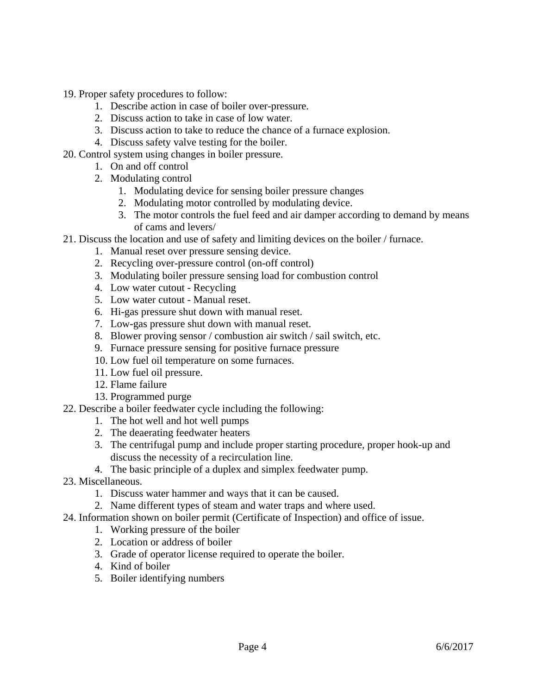19. Proper safety procedures to follow:

- 1. Describe action in case of boiler over-pressure.
- 2. Discuss action to take in case of low water.
- 3. Discuss action to take to reduce the chance of a furnace explosion.
- 4. Discuss safety valve testing for the boiler.
- 20. Control system using changes in boiler pressure.
	- 1. On and off control
	- 2. Modulating control
		- 1. Modulating device for sensing boiler pressure changes
		- 2. Modulating motor controlled by modulating device.
		- 3. The motor controls the fuel feed and air damper according to demand by means of cams and levers/
- 21. Discuss the location and use of safety and limiting devices on the boiler / furnace.
	- 1. Manual reset over pressure sensing device.
	- 2. Recycling over-pressure control (on-off control)
	- 3. Modulating boiler pressure sensing load for combustion control
	- 4. Low water cutout Recycling
	- 5. Low water cutout Manual reset.
	- 6. Hi-gas pressure shut down with manual reset.
	- 7. Low-gas pressure shut down with manual reset.
	- 8. Blower proving sensor / combustion air switch / sail switch, etc.
	- 9. Furnace pressure sensing for positive furnace pressure
	- 10. Low fuel oil temperature on some furnaces.
	- 11. Low fuel oil pressure.
	- 12. Flame failure
	- 13. Programmed purge
- 22. Describe a boiler feedwater cycle including the following:
	- 1. The hot well and hot well pumps
	- 2. The deaerating feedwater heaters
	- 3. The centrifugal pump and include proper starting procedure, proper hook-up and discuss the necessity of a recirculation line.
	- 4. The basic principle of a duplex and simplex feedwater pump.
- 23. Miscellaneous.
	- 1. Discuss water hammer and ways that it can be caused.
	- 2. Name different types of steam and water traps and where used.
- 24. Information shown on boiler permit (Certificate of Inspection) and office of issue.
	- 1. Working pressure of the boiler
	- 2. Location or address of boiler
	- 3. Grade of operator license required to operate the boiler.
	- 4. Kind of boiler
	- 5. Boiler identifying numbers